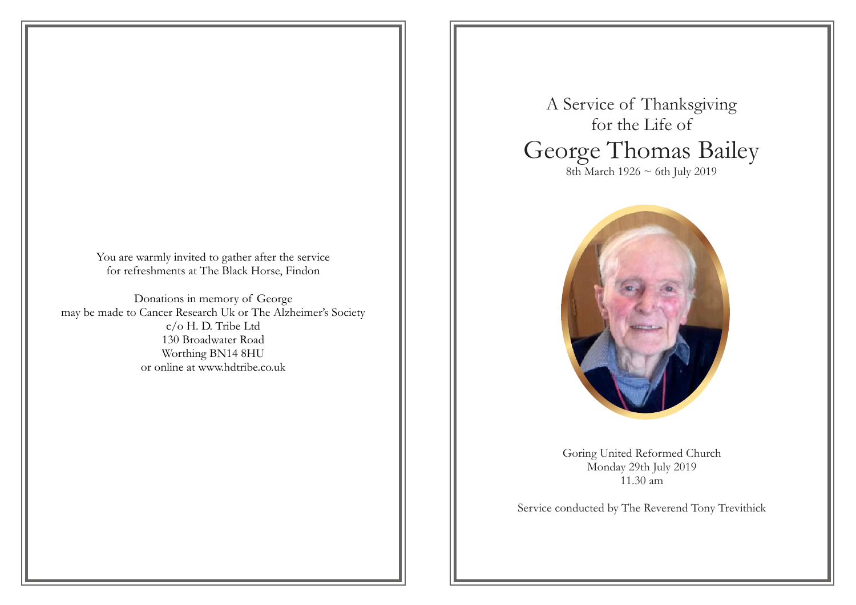You are warmly invited to gather after the service for refreshments at The Black Horse, Findon

Donations in memory of George may be made to Cancer Research Uk or The Alzheimer's Society c/o H. D. Tribe Ltd 130 Broadwater Road Worthing BN14 8HU or online at www.hdtribe.co.uk

A Service of Thanksgiving for the Life of George Thomas Bailey 8th March 1926 ~ 6th July 2019



Goring United Reformed Church Monday 29th July 2019 11.30 am

Service conducted by The Reverend Tony Trevithick